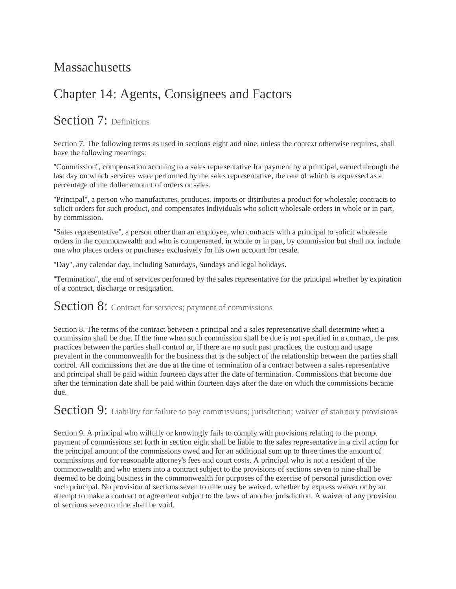## **Massachusetts**

## Chapter 14: Agents, Consignees and Factors

## Section 7: Definitions

Section 7. The following terms as used in sections eight and nine, unless the context otherwise requires, shall have the following meanings:

''Commission'', compensation accruing to a sales representative for payment by a principal, earned through the last day on which services were performed by the sales representative, the rate of which is expressed as a percentage of the dollar amount of orders or sales.

''Principal'', a person who manufactures, produces, imports or distributes a product for wholesale; contracts to solicit orders for such product, and compensates individuals who solicit wholesale orders in whole or in part, by commission.

''Sales representative'', a person other than an employee, who contracts with a principal to solicit wholesale orders in the commonwealth and who is compensated, in whole or in part, by commission but shall not include one who places orders or purchases exclusively for his own account for resale.

''Day'', any calendar day, including Saturdays, Sundays and legal holidays.

''Termination'', the end of services performed by the sales representative for the principal whether by expiration of a contract, discharge or resignation.

## **Section 8:** Contract for services; payment of commissions

Section 8. The terms of the contract between a principal and a sales representative shall determine when a commission shall be due. If the time when such commission shall be due is not specified in a contract, the past practices between the parties shall control or, if there are no such past practices, the custom and usage prevalent in the commonwealth for the business that is the subject of the relationship between the parties shall control. All commissions that are due at the time of termination of a contract between a sales representative and principal shall be paid within fourteen days after the date of termination. Commissions that become due after the termination date shall be paid within fourteen days after the date on which the commissions became due.

Section 9: Liability for failure to pay commissions; jurisdiction; waiver of statutory provisions

Section 9. A principal who wilfully or knowingly fails to comply with provisions relating to the prompt payment of commissions set forth in section eight shall be liable to the sales representative in a civil action for the principal amount of the commissions owed and for an additional sum up to three times the amount of commissions and for reasonable attorney's fees and court costs. A principal who is not a resident of the commonwealth and who enters into a contract subject to the provisions of sections seven to nine shall be deemed to be doing business in the commonwealth for purposes of the exercise of personal jurisdiction over such principal. No provision of sections seven to nine may be waived, whether by express waiver or by an attempt to make a contract or agreement subject to the laws of another jurisdiction. A waiver of any provision of sections seven to nine shall be void.